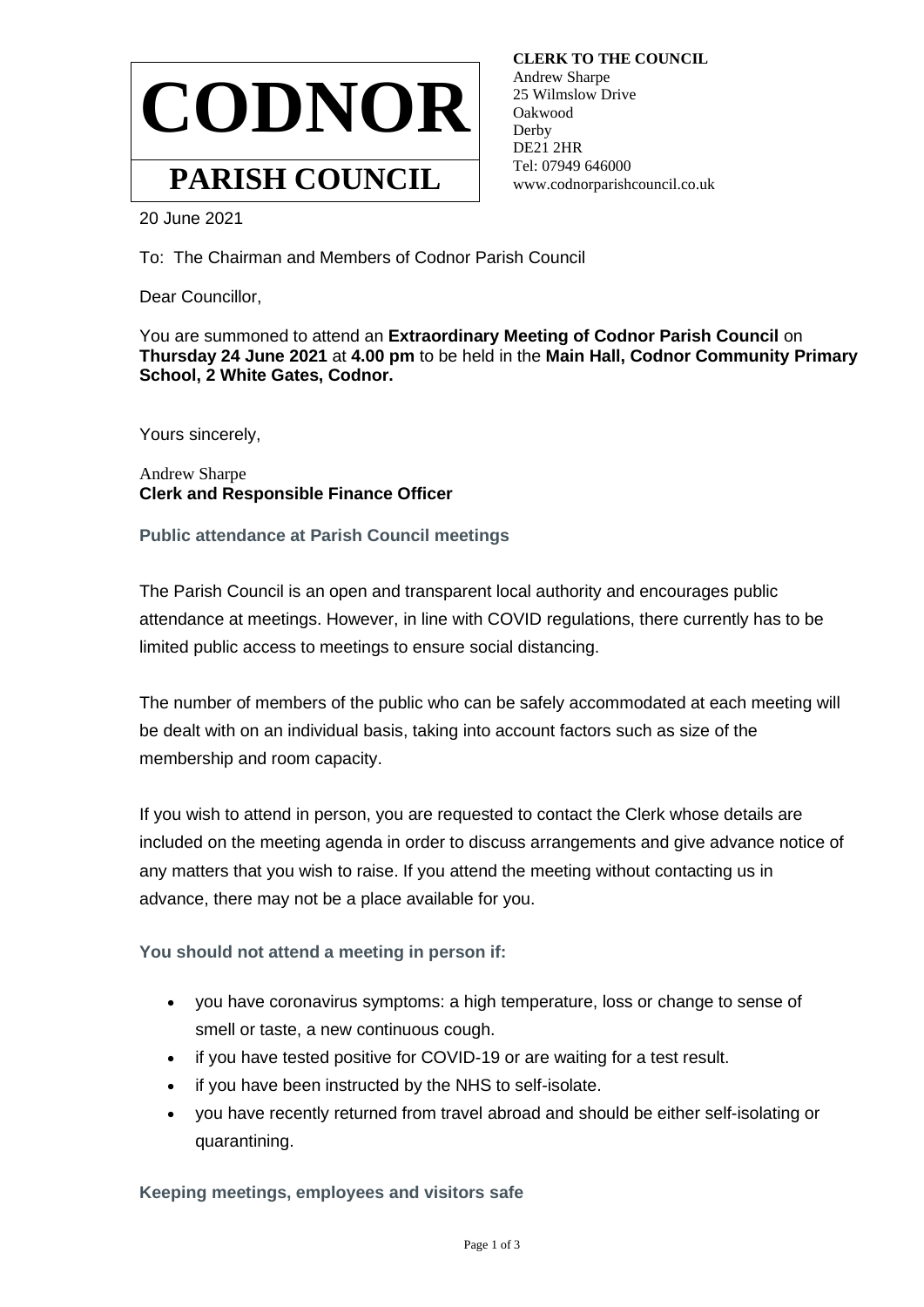

 **CLERK TO THE COUNCIL** Andrew Sharpe 25 Wilmslow Drive Oakwood **Derby**  DE21 2HR Tel: 07949 646000 www.codnorparishcouncil.co.uk

20 June 2021

To: The Chairman and Members of Codnor Parish Council

Dear Councillor,

You are summoned to attend an **Extraordinary Meeting of Codnor Parish Council** on **Thursday 24 June 2021** at **4.00 pm** to be held in the **Main Hall, Codnor Community Primary School, 2 White Gates, Codnor.**

Yours sincerely,

Andrew Sharpe **Clerk and Responsible Finance Officer**

**Public attendance at Parish Council meetings**

The Parish Council is an open and transparent local authority and encourages public attendance at meetings. However, in line with COVID regulations, there currently has to be limited public access to meetings to ensure social distancing.

The number of members of the public who can be safely accommodated at each meeting will be dealt with on an individual basis, taking into account factors such as size of the membership and room capacity.

If you wish to attend in person, you are requested to contact the Clerk whose details are included on the meeting agenda in order to discuss arrangements and give advance notice of any matters that you wish to raise. If you attend the meeting without contacting us in advance, there may not be a place available for you.

**You should not attend a meeting in person if:**

- you have coronavirus symptoms: a high temperature, loss or change to sense of smell or taste, a new continuous cough.
- if you have tested positive for COVID-19 or are waiting for a test result.
- if you have been instructed by the NHS to self-isolate.
- you have recently returned from travel abroad and should be either self-isolating or quarantining.

**Keeping meetings, employees and visitors safe**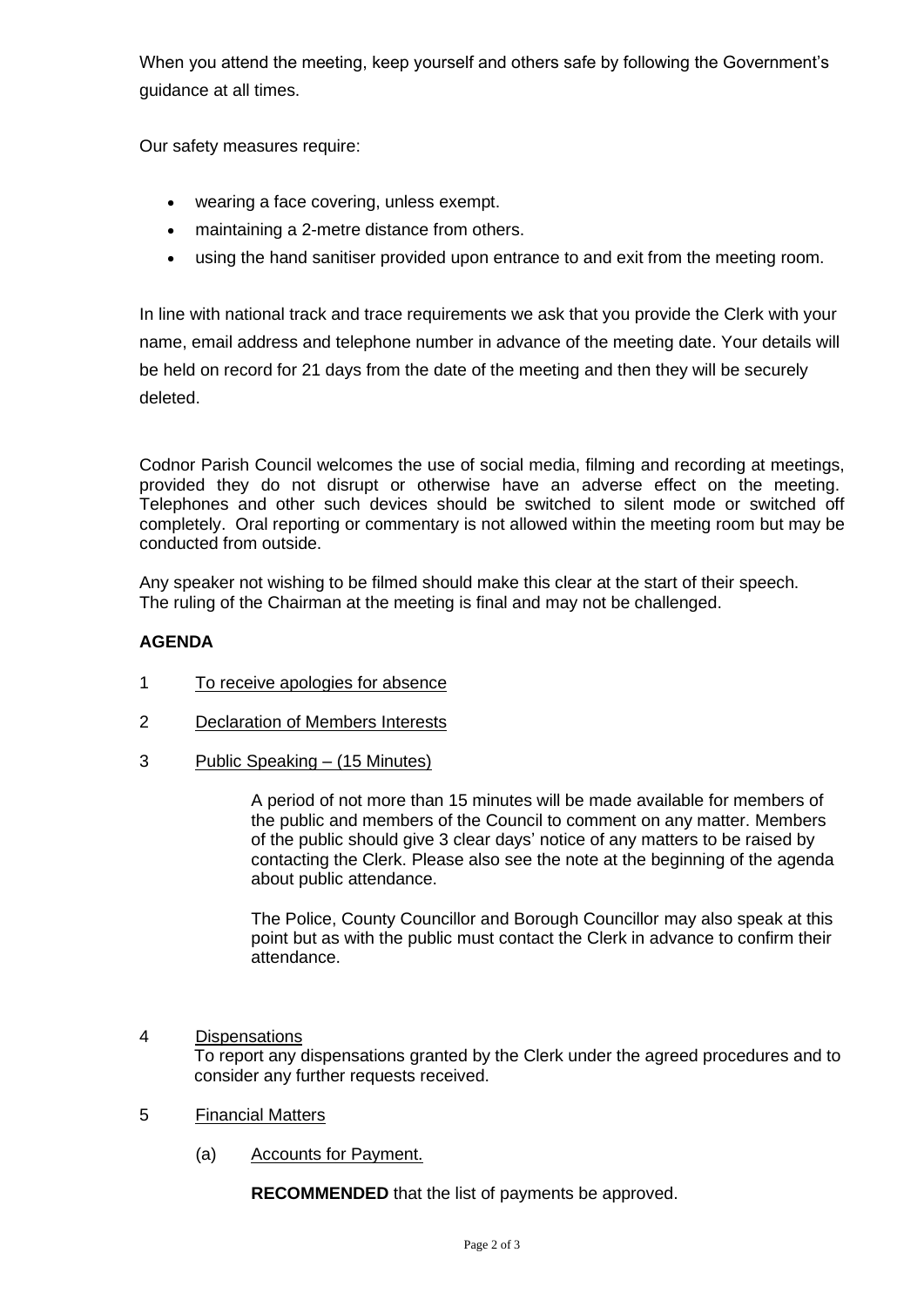When you attend the meeting, keep yourself and others safe by following the Government's guidance at all times.

Our safety measures require:

- wearing a face covering, unless exempt.
- maintaining a 2-metre distance from others.
- using the hand sanitiser provided upon entrance to and exit from the meeting room.

In line with national track and trace requirements we ask that you provide the Clerk with your name, email address and telephone number in advance of the meeting date. Your details will be held on record for 21 days from the date of the meeting and then they will be securely deleted.

Codnor Parish Council welcomes the use of social media, filming and recording at meetings, provided they do not disrupt or otherwise have an adverse effect on the meeting. Telephones and other such devices should be switched to silent mode or switched off completely. Oral reporting or commentary is not allowed within the meeting room but may be conducted from outside.

Any speaker not wishing to be filmed should make this clear at the start of their speech. The ruling of the Chairman at the meeting is final and may not be challenged.

## **AGENDA**

- 1 To receive apologies for absence
- 2 Declaration of Members Interests
- 3 Public Speaking (15 Minutes)

A period of not more than 15 minutes will be made available for members of the public and members of the Council to comment on any matter. Members of the public should give 3 clear days' notice of any matters to be raised by contacting the Clerk. Please also see the note at the beginning of the agenda about public attendance.

The Police, County Councillor and Borough Councillor may also speak at this point but as with the public must contact the Clerk in advance to confirm their attendance.

## 4 Dispensations

To report any dispensations granted by the Clerk under the agreed procedures and to consider any further requests received.

- 5 Financial Matters
	- (a) Accounts for Payment.

**RECOMMENDED** that the list of payments be approved.